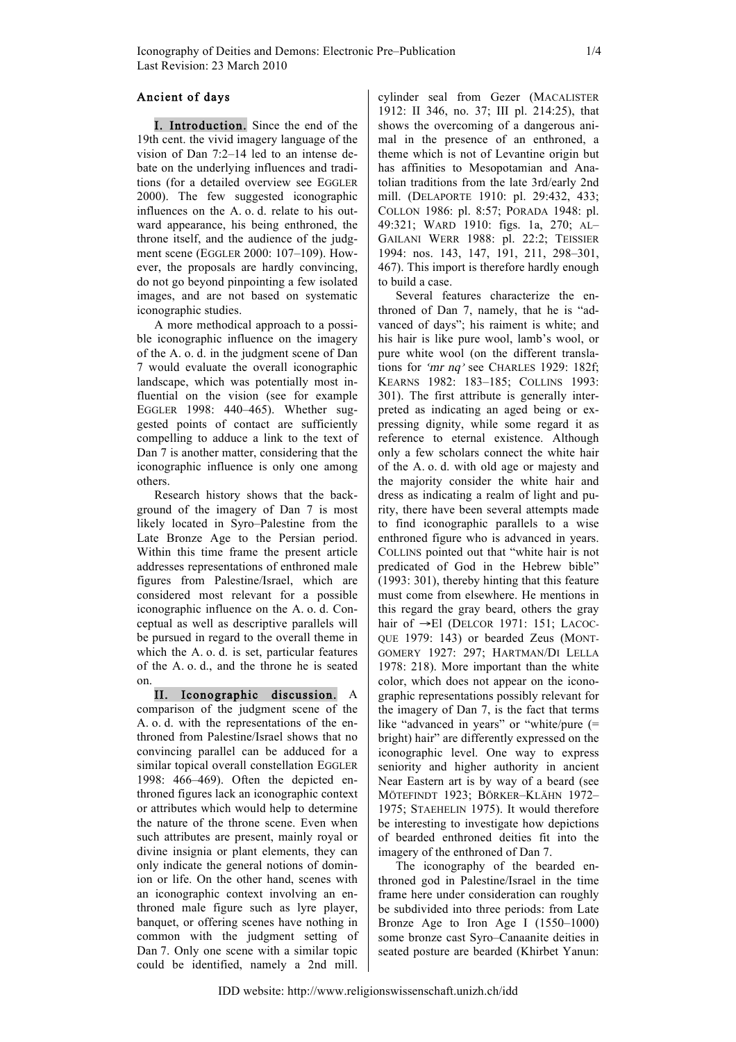## Ancient of days

I. Introduction. Since the end of the 19th cent. the vivid imagery language of the vision of Dan 7:2–14 led to an intense debate on the underlying influences and traditions (for a detailed overview see EGGLER 2000). The few suggested iconographic influences on the A. o. d. relate to his outward appearance, his being enthroned, the throne itself, and the audience of the judgment scene (EGGLER 2000: 107–109). However, the proposals are hardly convincing, do not go beyond pinpointing a few isolated images, and are not based on systematic iconographic studies.

A more methodical approach to a possible iconographic influence on the imagery of the A. o. d. in the judgment scene of Dan 7 would evaluate the overall iconographic landscape, which was potentially most influential on the vision (see for example EGGLER 1998: 440–465). Whether suggested points of contact are sufficiently compelling to adduce a link to the text of Dan 7 is another matter, considering that the iconographic influence is only one among others.

Research history shows that the background of the imagery of Dan 7 is most likely located in Syro–Palestine from the Late Bronze Age to the Persian period. Within this time frame the present article addresses representations of enthroned male figures from Palestine/Israel, which are considered most relevant for a possible iconographic influence on the A. o. d. Conceptual as well as descriptive parallels will be pursued in regard to the overall theme in which the A. o. d. is set, particular features of the A. o. d., and the throne he is seated on.

II. Iconographic discussion. A comparison of the judgment scene of the A. o. d. with the representations of the enthroned from Palestine/Israel shows that no convincing parallel can be adduced for a similar topical overall constellation EGGLER 1998: 466–469). Often the depicted enthroned figures lack an iconographic context or attributes which would help to determine the nature of the throne scene. Even when such attributes are present, mainly royal or divine insignia or plant elements, they can only indicate the general notions of dominion or life. On the other hand, scenes with an iconographic context involving an enthroned male figure such as lyre player, banquet, or offering scenes have nothing in common with the judgment setting of Dan 7. Only one scene with a similar topic could be identified, namely a 2nd mill. cylinder seal from Gezer (MACALISTER 1912: II 346, no. 37; III pl. 214:25), that shows the overcoming of a dangerous animal in the presence of an enthroned, a theme which is not of Levantine origin but has affinities to Mesopotamian and Anatolian traditions from the late 3rd/early 2nd mill. (DELAPORTE 1910: pl. 29:432, 433; COLLON 1986: pl. 8:57; PORADA 1948: pl. 49:321; WARD 1910: figs. 1a, 270; AL– GAILANI WERR 1988: pl. 22:2; TEISSIER 1994: nos. 143, 147, 191, 211, 298–301, 467). This import is therefore hardly enough to build a case.

Several features characterize the enthroned of Dan 7, namely, that he is "advanced of days"; his raiment is white; and his hair is like pure wool, lamb's wool, or pure white wool (on the different translations for  $\gamma m r \eta q$  see CHARLES 1929: 182f; KEARNS 1982: 183–185; COLLINS 1993: 301). The first attribute is generally interpreted as indicating an aged being or expressing dignity, while some regard it as reference to eternal existence. Although only a few scholars connect the white hair of the A. o. d. with old age or majesty and the majority consider the white hair and dress as indicating a realm of light and purity, there have been several attempts made to find iconographic parallels to a wise enthroned figure who is advanced in years. COLLINS pointed out that "white hair is not predicated of God in the Hebrew bible" (1993: 301), thereby hinting that this feature must come from elsewhere. He mentions in this regard the gray beard, others the gray hair of →El (DELCOR 1971: 151; LACOC-QUE 1979: 143) or bearded Zeus (MONT-GOMERY 1927: 297; HARTMAN/DI LELLA 1978: 218). More important than the white color, which does not appear on the iconographic representations possibly relevant for the imagery of Dan 7, is the fact that terms like "advanced in years" or "white/pure (= bright) hair" are differently expressed on the iconographic level. One way to express seniority and higher authority in ancient Near Eastern art is by way of a beard (see MÖTEFINDT 1923; BÖRKER–KLÄHN 1972– 1975; STAEHELIN 1975). It would therefore be interesting to investigate how depictions of bearded enthroned deities fit into the imagery of the enthroned of Dan 7.

The iconography of the bearded enthroned god in Palestine/Israel in the time frame here under consideration can roughly be subdivided into three periods: from Late Bronze Age to Iron Age I (1550–1000) some bronze cast Syro–Canaanite deities in seated posture are bearded (Khirbet Yanun: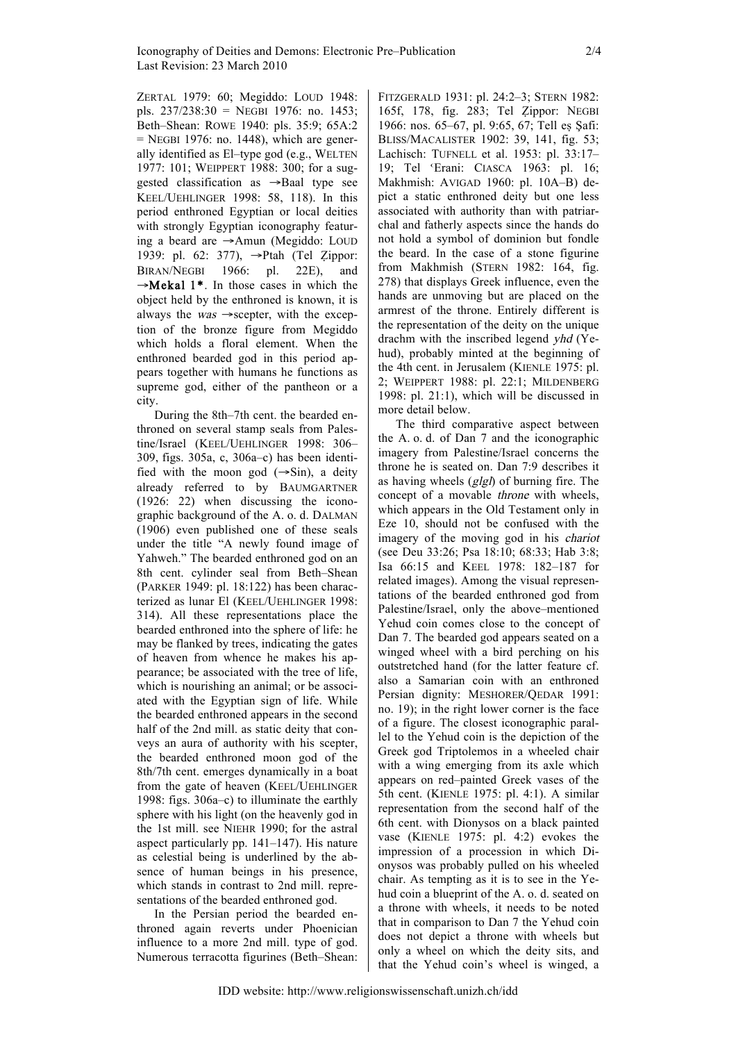ZERTAL 1979: 60; Megiddo: LOUD 1948: pls. 237/238:30 = NEGBI 1976: no. 1453; Beth–Shean: ROWE 1940: pls. 35:9; 65A:2  $=$  NEGBI 1976: no. 1448), which are generally identified as El–type god (e.g., WELTEN 1977: 101; WEIPPERT 1988: 300; for a suggested classification as →Baal type see KEEL/UEHLINGER 1998: 58, 118). In this period enthroned Egyptian or local deities with strongly Egyptian iconography featuring a beard are →Amun (Megiddo: LOUD 1939: pl. 62: 377), →Ptah (Tel Ẓippor: BIRAN/NEGBI 1966: pl. 22E), and  $\rightarrow$ **Mekal 1\***. In those cases in which the object held by the enthroned is known, it is always the *was*  $\rightarrow$  scepter, with the exception of the bronze figure from Megiddo which holds a floral element. When the enthroned bearded god in this period appears together with humans he functions as supreme god, either of the pantheon or a city.

During the 8th–7th cent. the bearded enthroned on several stamp seals from Palestine/Israel (KEEL/UEHLINGER 1998: 306– 309, figs. 305a, c, 306a–c) has been identified with the moon god  $(\rightarrow$ Sin), a deity already referred to by BAUMGARTNER (1926: 22) when discussing the iconographic background of the A. o. d. DALMAN (1906) even published one of these seals under the title "A newly found image of Yahweh." The bearded enthroned god on an 8th cent. cylinder seal from Beth–Shean (PARKER 1949: pl. 18:122) has been characterized as lunar El (KEEL/UEHLINGER 1998: 314). All these representations place the bearded enthroned into the sphere of life: he may be flanked by trees, indicating the gates of heaven from whence he makes his appearance; be associated with the tree of life, which is nourishing an animal; or be associated with the Egyptian sign of life. While the bearded enthroned appears in the second half of the 2nd mill. as static deity that conveys an aura of authority with his scepter, the bearded enthroned moon god of the 8th/7th cent. emerges dynamically in a boat from the gate of heaven (KEEL/UEHLINGER 1998: figs. 306a–c) to illuminate the earthly sphere with his light (on the heavenly god in the 1st mill. see NIEHR 1990; for the astral aspect particularly pp. 141–147). His nature as celestial being is underlined by the absence of human beings in his presence, which stands in contrast to 2nd mill. representations of the bearded enthroned god.

In the Persian period the bearded enthroned again reverts under Phoenician influence to a more 2nd mill. type of god. Numerous terracotta figurines (Beth–Shean: FITZGERALD 1931: pl. 24:2–3; STERN 1982: 165f, 178, fig. 283; Tel Ẓippor: NEGBI 1966: nos. 65–67, pl. 9:65, 67; Tell eṣ Şafi: BLISS/MACALISTER 1902: 39, 141, fig. 53; Lachisch: TUFNELL et al. 1953: pl. 33:17– 19; Tel ˓Erani: CIASCA 1963: pl. 16; Makhmish: AVIGAD 1960: pl. 10A–B) depict a static enthroned deity but one less associated with authority than with patriarchal and fatherly aspects since the hands do not hold a symbol of dominion but fondle the beard. In the case of a stone figurine from Makhmish (STERN 1982: 164, fig. 278) that displays Greek influence, even the hands are unmoving but are placed on the armrest of the throne. Entirely different is the representation of the deity on the unique drachm with the inscribed legend yhd (Yehud), probably minted at the beginning of the 4th cent. in Jerusalem (KIENLE 1975: pl. 2; WEIPPERT 1988: pl. 22:1; MILDENBERG 1998: pl. 21:1), which will be discussed in more detail below.

The third comparative aspect between the A. o. d. of Dan 7 and the iconographic imagery from Palestine/Israel concerns the throne he is seated on. Dan 7:9 describes it as having wheels (glgl) of burning fire. The concept of a movable throne with wheels, which appears in the Old Testament only in Eze 10, should not be confused with the imagery of the moving god in his chariot (see Deu 33:26; Psa 18:10; 68:33; Hab 3:8; Isa 66:15 and KEEL 1978: 182–187 for related images). Among the visual representations of the bearded enthroned god from Palestine/Israel, only the above–mentioned Yehud coin comes close to the concept of Dan 7. The bearded god appears seated on a winged wheel with a bird perching on his outstretched hand (for the latter feature cf. also a Samarian coin with an enthroned Persian dignity: MESHORER/QEDAR 1991: no. 19); in the right lower corner is the face of a figure. The closest iconographic parallel to the Yehud coin is the depiction of the Greek god Triptolemos in a wheeled chair with a wing emerging from its axle which appears on red–painted Greek vases of the 5th cent. (KIENLE 1975: pl. 4:1). A similar representation from the second half of the 6th cent. with Dionysos on a black painted vase (KIENLE 1975: pl. 4:2) evokes the impression of a procession in which Dionysos was probably pulled on his wheeled chair. As tempting as it is to see in the Yehud coin a blueprint of the A. o. d. seated on a throne with wheels, it needs to be noted that in comparison to Dan 7 the Yehud coin does not depict a throne with wheels but only a wheel on which the deity sits, and that the Yehud coin's wheel is winged, a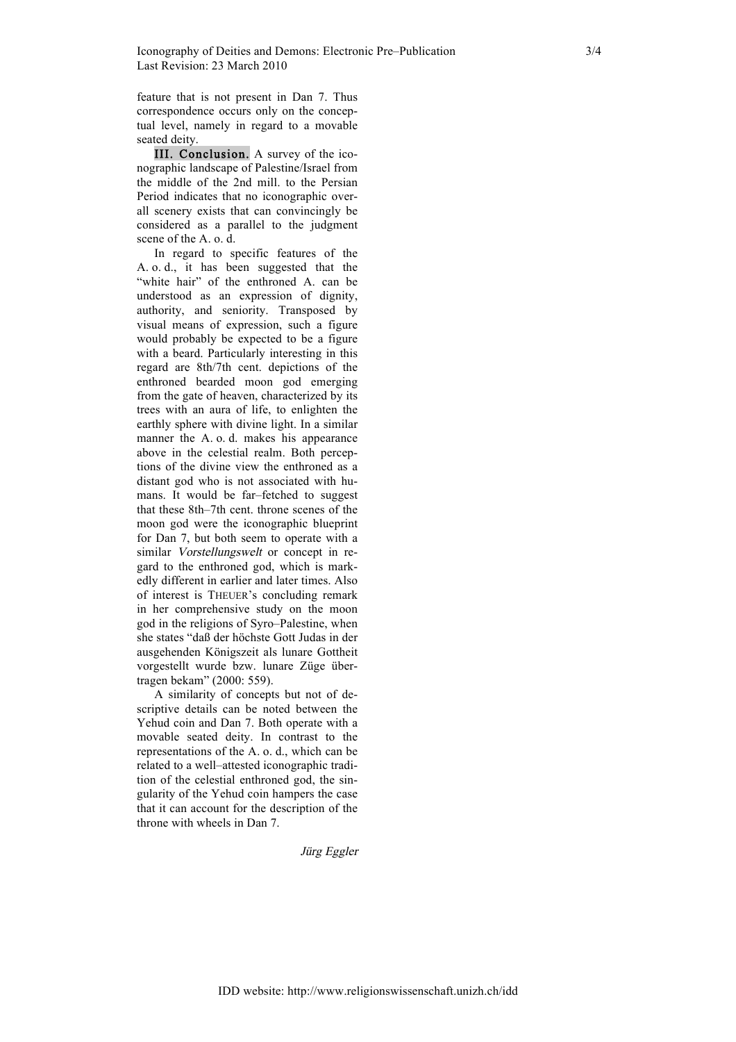feature that is not present in Dan 7. Thus correspondence occurs only on the conceptual level, namely in regard to a movable seated deity.

III. Conclusion. A survey of the iconographic landscape of Palestine/Israel from the middle of the 2nd mill. to the Persian Period indicates that no iconographic overall scenery exists that can convincingly be considered as a parallel to the judgment scene of the A. o. d.

In regard to specific features of the A. o. d., it has been suggested that the "white hair" of the enthroned A. can be understood as an expression of dignity, authority, and seniority. Transposed by visual means of expression, such a figure would probably be expected to be a figure with a beard. Particularly interesting in this regard are 8th/7th cent. depictions of the enthroned bearded moon god emerging from the gate of heaven, characterized by its trees with an aura of life, to enlighten the earthly sphere with divine light. In a similar manner the A. o. d. makes his appearance above in the celestial realm. Both perceptions of the divine view the enthroned as a distant god who is not associated with humans. It would be far–fetched to suggest that these 8th–7th cent. throne scenes of the moon god were the iconographic blueprint for Dan 7, but both seem to operate with a similar Vorstellungswelt or concept in regard to the enthroned god, which is markedly different in earlier and later times. Also of interest is THEUER's concluding remark in her comprehensive study on the moon god in the religions of Syro–Palestine, when she states "daß der höchste Gott Judas in der ausgehenden Königszeit als lunare Gottheit vorgestellt wurde bzw. lunare Züge übertragen bekam" (2000: 559).

A similarity of concepts but not of descriptive details can be noted between the Yehud coin and Dan 7. Both operate with a movable seated deity. In contrast to the representations of the A. o. d., which can be related to a well–attested iconographic tradition of the celestial enthroned god, the singularity of the Yehud coin hampers the case that it can account for the description of the throne with wheels in Dan 7.

Jürg Eggler